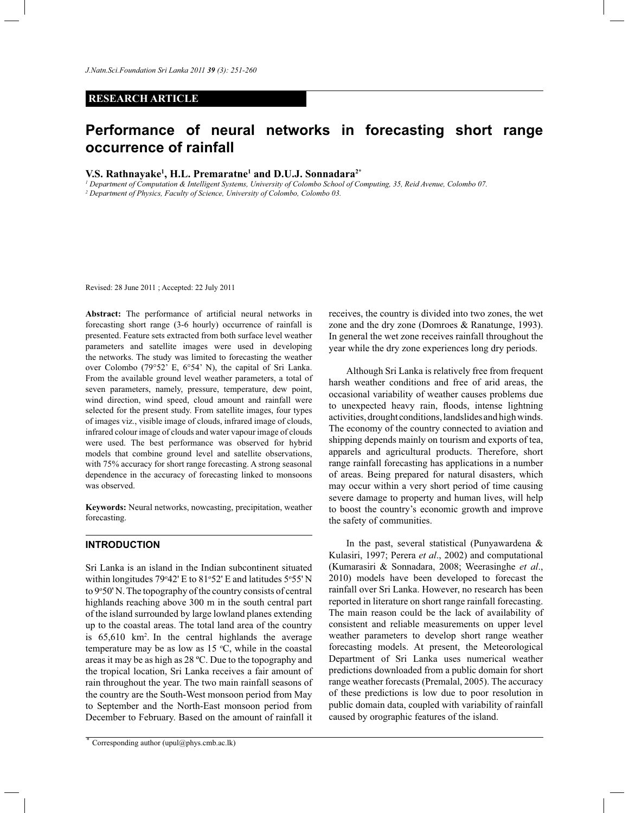# **RESEARCH ARTICLE**

# **Performance of neural networks in forecasting short range occurrence of rainfall**

# **V.S. Rathnayake<sup>1</sup> , H.L. Premaratne<sup>1</sup> and D.U.J. Sonnadara2\***

*1 Department of Computation & Intelligent Systems, University of Colombo School of Computing, 35, Reid Avenue, Colombo 07.* 

*2 Department of Physics, Faculty of Science, University of Colombo, Colombo 03.*

Revised: 28 June 2011 ; Accepted: 22 July 2011

**Abstract:** The performance of artificial neural networks in forecasting short range (3-6 hourly) occurrence of rainfall is presented. Feature sets extracted from both surface level weather parameters and satellite images were used in developing the networks. The study was limited to forecasting the weather over Colombo (79°52' E, 6°54' N), the capital of Sri Lanka. From the available ground level weather parameters, a total of seven parameters, namely, pressure, temperature, dew point, wind direction, wind speed, cloud amount and rainfall were selected for the present study. From satellite images, four types of images viz., visible image of clouds, infrared image of clouds, infrared colour image of clouds and water vapour image of clouds were used. The best performance was observed for hybrid models that combine ground level and satellite observations, with 75% accuracy for short range forecasting. A strong seasonal dependence in the accuracy of forecasting linked to monsoons was observed.

**Keywords:** Neural networks, nowcasting, precipitation, weather forecasting.

# **INTRODUCTION**

Sri Lanka is an island in the Indian subcontinent situated within longitudes  $79^{\circ}42'$  E to  $81^{\circ}52'$  E and latitudes  $5^{\circ}55'$  N to 9°50' N. The topography of the country consists of central highlands reaching above 300 m in the south central part of the island surrounded by large lowland planes extending up to the coastal areas. The total land area of the country is 65,610 km<sup>2</sup> . In the central highlands the average temperature may be as low as  $15 \degree C$ , while in the coastal areas it may be as high as 28 ºC. Due to the topography and the tropical location, Sri Lanka receives a fair amount of rain throughout the year. The two main rainfall seasons of the country are the South-West monsoon period from May to September and the North-East monsoon period from December to February. Based on the amount of rainfall it

receives, the country is divided into two zones, the wet zone and the dry zone (Domroes & Ranatunge, 1993). In general the wet zone receives rainfall throughout the year while the dry zone experiences long dry periods.

 Although Sri Lanka is relatively free from frequent harsh weather conditions and free of arid areas, the occasional variability of weather causes problems due to unexpected heavy rain, floods, intense lightning activities, drought conditions, landslides and high winds. The economy of the country connected to aviation and shipping depends mainly on tourism and exports of tea, apparels and agricultural products. Therefore, short range rainfall forecasting has applications in a number of areas. Being prepared for natural disasters, which may occur within a very short period of time causing severe damage to property and human lives, will help to boost the country's economic growth and improve the safety of communities.

 In the past, several statistical (Punyawardena & Kulasiri, 1997; Perera *et al*., 2002) and computational (Kumarasiri & Sonnadara, 2008; Weerasinghe *et al*., 2010) models have been developed to forecast the rainfall over Sri Lanka. However, no research has been reported in literature on short range rainfall forecasting. The main reason could be the lack of availability of consistent and reliable measurements on upper level weather parameters to develop short range weather forecasting models. At present, the Meteorological Department of Sri Lanka uses numerical weather predictions downloaded from a public domain for short range weather forecasts (Premalal, 2005). The accuracy of these predictions is low due to poor resolution in public domain data, coupled with variability of rainfall caused by orographic features of the island.

Corresponding author (upul@phys.cmb.ac.lk)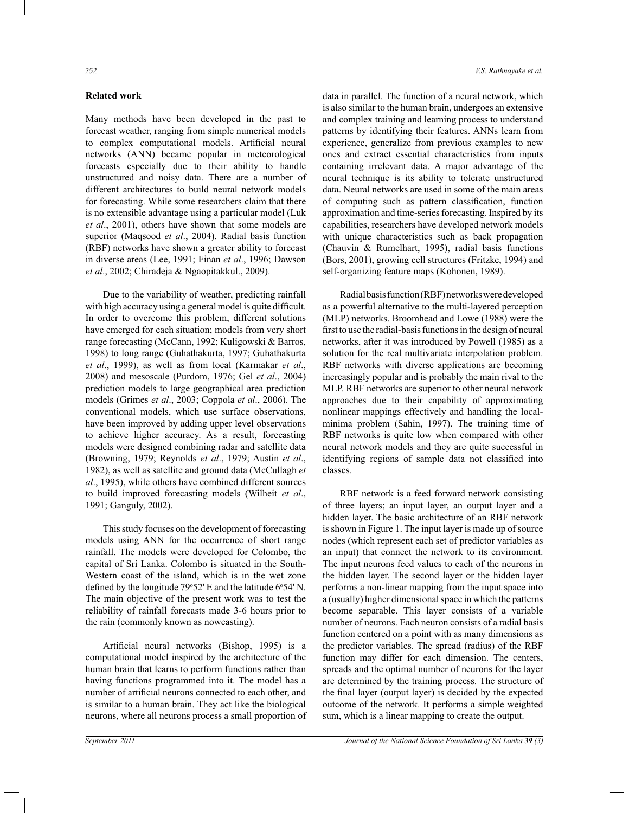## **Related work**

Many methods have been developed in the past to forecast weather, ranging from simple numerical models to complex computational models. Artificial neural networks (ANN) became popular in meteorological forecasts especially due to their ability to handle unstructured and noisy data. There are a number of different architectures to build neural network models for forecasting. While some researchers claim that there is no extensible advantage using a particular model (Luk *et al*., 2001), others have shown that some models are superior (Maqsood *et al*., 2004). Radial basis function (RBF) networks have shown a greater ability to forecast in diverse areas (Lee, 1991; Finan *et al*., 1996; Dawson *et al*., 2002; Chiradeja & Ngaopitakkul., 2009).

 Due to the variability of weather, predicting rainfall with high accuracy using a general model is quite difficult. In order to overcome this problem, different solutions have emerged for each situation; models from very short range forecasting (McCann, 1992; Kuligowski & Barros, 1998) to long range (Guhathakurta, 1997; Guhathakurta *et al*., 1999), as well as from local (Karmakar *et al*., 2008) and mesoscale (Purdom, 1976; Gel *et al*., 2004) prediction models to large geographical area prediction models (Grimes *et al*., 2003; Coppola *et al*., 2006). The conventional models, which use surface observations, have been improved by adding upper level observations to achieve higher accuracy. As a result, forecasting models were designed combining radar and satellite data (Browning, 1979; Reynolds *et al*., 1979; Austin *et al*., 1982), as well as satellite and ground data (McCullagh *et al*., 1995), while others have combined different sources to build improved forecasting models (Wilheit *et al*., 1991; Ganguly, 2002).

 This study focuses on the development of forecasting models using ANN for the occurrence of short range rainfall. The models were developed for Colombo, the capital of Sri Lanka. Colombo is situated in the South-Western coast of the island, which is in the wet zone defined by the longitude  $79^{\circ}52'$  E and the latitude  $6^{\circ}54'$  N. The main objective of the present work was to test the reliability of rainfall forecasts made 3-6 hours prior to the rain (commonly known as nowcasting).

Artificial neural networks (Bishop, 1995) is a computational model inspired by the architecture of the human brain that learns to perform functions rather than having functions programmed into it. The model has a number of artificial neurons connected to each other, and is similar to a human brain. They act like the biological neurons, where all neurons process a small proportion of data in parallel. The function of a neural network, which is also similar to the human brain, undergoes an extensive and complex training and learning process to understand patterns by identifying their features. ANNs learn from experience, generalize from previous examples to new ones and extract essential characteristics from inputs containing irrelevant data. A major advantage of the neural technique is its ability to tolerate unstructured data. Neural networks are used in some of the main areas of computing such as pattern classification, function approximation and time-series forecasting. Inspired by its capabilities, researchers have developed network models with unique characteristics such as back propagation (Chauvin & Rumelhart, 1995), radial basis functions (Bors, 2001), growing cell structures (Fritzke, 1994) and self-organizing feature maps (Kohonen, 1989).

 Radial basis function (RBF) networks were developed as a powerful alternative to the multi-layered perception (MLP) networks. Broomhead and Lowe (1988) were the first to use the radial-basis functions in the design of neural networks, after it was introduced by Powell (1985) as a solution for the real multivariate interpolation problem. RBF networks with diverse applications are becoming increasingly popular and is probably the main rival to the MLP. RBF networks are superior to other neural network approaches due to their capability of approximating nonlinear mappings effectively and handling the localminima problem (Sahin, 1997). The training time of RBF networks is quite low when compared with other neural network models and they are quite successful in identifying regions of sample data not classified into classes.

 RBF network is a feed forward network consisting of three layers; an input layer, an output layer and a hidden layer. The basic architecture of an RBF network is shown in Figure 1. The input layer is made up of source nodes (which represent each set of predictor variables as an input) that connect the network to its environment. The input neurons feed values to each of the neurons in the hidden layer. The second layer or the hidden layer performs a non-linear mapping from the input space into a (usually) higher dimensional space in which the patterns become separable. This layer consists of a variable number of neurons. Each neuron consists of a radial basis function centered on a point with as many dimensions as the predictor variables. The spread (radius) of the RBF function may differ for each dimension. The centers, spreads and the optimal number of neurons for the layer are determined by the training process. The structure of the final layer (output layer) is decided by the expected outcome of the network. It performs a simple weighted sum, which is a linear mapping to create the output.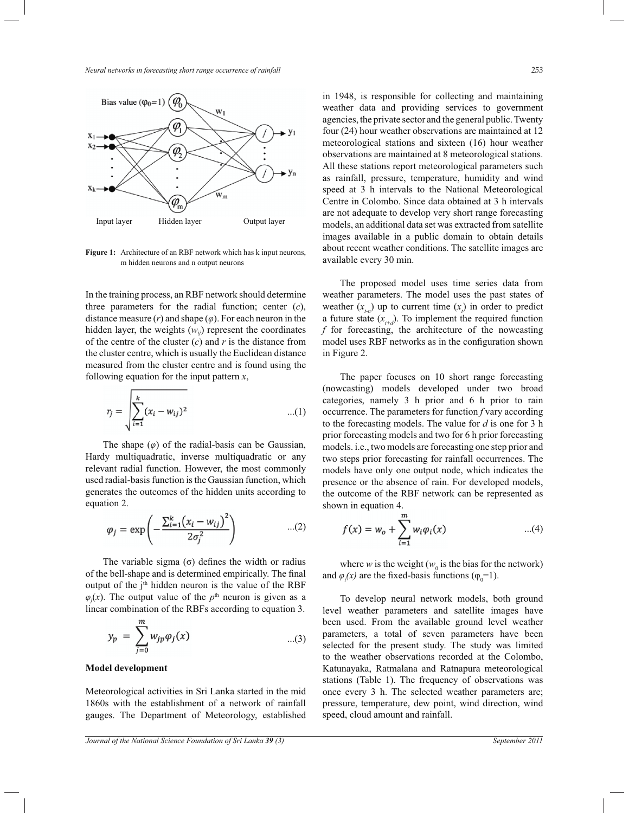

Figure 1: Architecture of an RBF network which has k input neurons, m hidden neurons and n output neurons

In the training process, an RBF network should determine three parameters for the radial function; center (*c*), distance measure (*r*) and shape (*φ*). For each neuron in the hidden layer, the weights  $(w_{ii})$  represent the coordinates of the centre of the cluster (*c*) and *r* is the distance from the cluster centre, which is usually the Euclidean distance measured from the cluster centre and is found using the following equation for the input pattern *x*,

$$
r_j = \sqrt{\sum_{i=1}^{k} (x_i - w_{ij})^2}
$$
...(1)

The shape  $(\varphi)$  of the radial-basis can be Gaussian, Hardy multiquadratic, inverse multiquadratic or any relevant radial function. However, the most commonly used radial-basis function is the Gaussian function, which generates the outcomes of the hidden units according to equation 2.

$$
\varphi_j = \exp\left(-\frac{\sum_{i=1}^{k} (x_i - w_{ij})^2}{2\sigma_j^2}\right) \quad ...(2)
$$

The variable sigma  $(\sigma)$  defines the width or radius of the bell-shape and is determined empirically. The final output of the j<sup>th</sup> hidden neuron is the value of the RBF  $\varphi_j(x)$ . The output value of the *p*<sup>th</sup> neuron is given as a linear combination of the RBFs according to equation 3.

$$
y_p = \sum_{j=0}^{m} w_{jp} \varphi_j(x) \qquad ...(3)
$$

#### **Model development**

Meteorological activities in Sri Lanka started in the mid 1860s with the establishment of a network of rainfall gauges. The Department of Meteorology, established

*Journal of the National Science Foundation of Sri Lanka 39 (3) September 2011*

in 1948, is responsible for collecting and maintaining weather data and providing services to government agencies, the private sector and the general public. Twenty four (24) hour weather observations are maintained at 12 meteorological stations and sixteen (16) hour weather observations are maintained at 8 meteorological stations. All these stations report meteorological parameters such as rainfall, pressure, temperature, humidity and wind speed at 3 h intervals to the National Meteorological Centre in Colombo. Since data obtained at 3 h intervals are not adequate to develop very short range forecasting models, an additional data set was extracted from satellite images available in a public domain to obtain details about recent weather conditions. The satellite images are available every 30 min.

 The proposed model uses time series data from weather parameters. The model uses the past states of weather  $(x_{t,n})$  up to current time  $(x_t)$  in order to predict a future state  $(x_{t+d})$ . To implement the required function *f* for forecasting, the architecture of the nowcasting model uses RBF networks as in the configuration shown in Figure 2.

 The paper focuses on 10 short range forecasting (nowcasting) models developed under two broad categories, namely 3 h prior and 6 h prior to rain occurrence. The parameters for function *f* vary according to the forecasting models. The value for *d* is one for 3 h prior forecasting models and two for 6 h prior forecasting models. i.e., two models are forecasting one step prior and two steps prior forecasting for rainfall occurrences. The models have only one output node, which indicates the presence or the absence of rain. For developed models, the outcome of the RBF network can be represented as shown in equation 4.

$$
f(x) = w_o + \sum_{i=1}^{m} w_i \varphi_i(x) \qquad ...(4)
$$

where *w* is the weight ( $w_0$  is the bias for the network) and  $\varphi_i(x)$  are the fixed-basis functions ( $\varphi_0$ =1).

 To develop neural network models, both ground level weather parameters and satellite images have been used. From the available ground level weather parameters, a total of seven parameters have been selected for the present study. The study was limited to the weather observations recorded at the Colombo, Katunayaka, Ratmalana and Ratnapura meteorological stations (Table 1). The frequency of observations was once every 3 h. The selected weather parameters are; pressure, temperature, dew point, wind direction, wind speed, cloud amount and rainfall.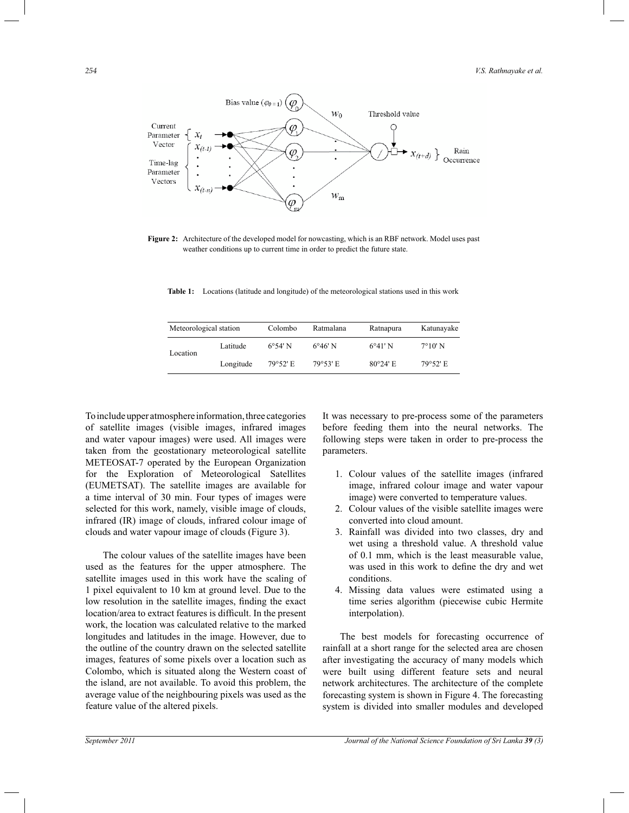

**Figure 2:** Architecture of the developed model for nowcasting, which is an RBF network. Model uses past weather conditions up to current time in order to predict the future state.

**Table 1:** Locations (latitude and longitude) of the meteorological stations used in this work

| Meteorological station |           | Colombo           | Ratmalana         | Ratnapura         | Katunayake        |
|------------------------|-----------|-------------------|-------------------|-------------------|-------------------|
| Location               | Latitude  | $6^{\circ}54'$ N  | $6^{\circ}46'$ N  | $6^{\circ}41'$ N  | $7^{\circ}10'$ N  |
|                        | Longitude | $79^{\circ}52'$ E | $79^{\circ}53'$ E | $80^{\circ}24'$ E | $79^{\circ}52'$ E |

To include upper atmosphere information, three categories of satellite images (visible images, infrared images and water vapour images) were used. All images were taken from the geostationary meteorological satellite METEOSAT-7 operated by the European Organization for the Exploration of Meteorological Satellites (EUMETSAT). The satellite images are available for a time interval of 30 min. Four types of images were selected for this work, namely, visible image of clouds, infrared (IR) image of clouds, infrared colour image of clouds and water vapour image of clouds (Figure 3).

 The colour values of the satellite images have been used as the features for the upper atmosphere. The satellite images used in this work have the scaling of 1 pixel equivalent to 10 km at ground level. Due to the low resolution in the satellite images, finding the exact location/area to extract features is difficult. In the present work, the location was calculated relative to the marked longitudes and latitudes in the image. However, due to the outline of the country drawn on the selected satellite images, features of some pixels over a location such as Colombo, which is situated along the Western coast of the island, are not available. To avoid this problem, the average value of the neighbouring pixels was used as the feature value of the altered pixels.

It was necessary to pre-process some of the parameters before feeding them into the neural networks. The following steps were taken in order to pre-process the parameters.

- 1. Colour values of the satellite images (infrared image, infrared colour image and water vapour image) were converted to temperature values.
- 2. Colour values of the visible satellite images were converted into cloud amount.
- 3. Rainfall was divided into two classes, dry and wet using a threshold value. A threshold value of 0.1 mm, which is the least measurable value, was used in this work to define the dry and wet conditions.
- 4. Missing data values were estimated using a time series algorithm (piecewise cubic Hermite interpolation).

 The best models for forecasting occurrence of rainfall at a short range for the selected area are chosen after investigating the accuracy of many models which were built using different feature sets and neural network architectures. The architecture of the complete forecasting system is shown in Figure 4. The forecasting system is divided into smaller modules and developed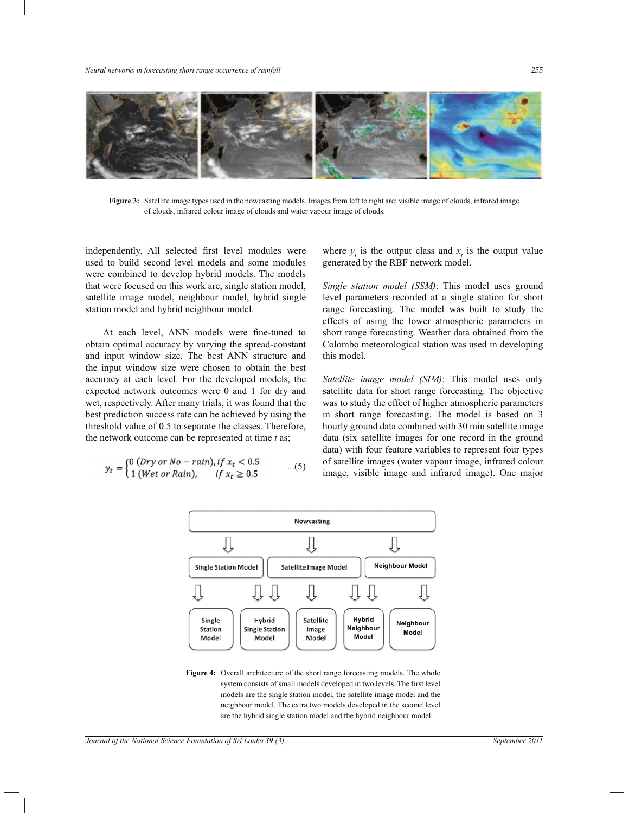

**Figure 3:** Satellite image types used in the nowcasting models. Images from left to right are; visible image of clouds, infrared image of clouds, infrared colour image of clouds and water vapour image of clouds.

independently. All selected first level modules were used to build second level models and some modules were combined to develop hybrid models. The models that were focused on this work are, single station model, satellite image model, neighbour model, hybrid single station model and hybrid neighbour model.

 At each level, ANN models were fine-tuned to obtain optimal accuracy by varying the spread-constant and input window size. The best ANN structure and the input window size were chosen to obtain the best accuracy at each level. For the developed models, the expected network outcomes were 0 and 1 for dry and wet, respectively. After many trials, it was found that the best prediction success rate can be achieved by using the threshold value of 0.5 to separate the classes. Therefore, the network outcome can be represented at time *t* as;

$$
y_t = \begin{cases} 0 \text{ (Dry or No } - \text{rain)}, \text{if } x_t < 0.5\\ 1 \text{ (Wet or Rain)}, & \text{if } x_t \ge 0.5 \end{cases} \tag{5}
$$

where  $y_t$  is the output class and  $x_t$  is the output value generated by the RBF network model.

*Single station model (SSM)*: This model uses ground level parameters recorded at a single station for short range forecasting. The model was built to study the effects of using the lower atmospheric parameters in short range forecasting. Weather data obtained from the Colombo meteorological station was used in developing this model.

*Satellite image model (SIM)*: This model uses only satellite data for short range forecasting. The objective was to study the effect of higher atmospheric parameters in short range forecasting. The model is based on 3 hourly ground data combined with 30 min satellite image data (six satellite images for one record in the ground data) with four feature variables to represent four types of satellite images (water vapour image, infrared colour image, visible image and infrared image). One major



**Figure 4:** Overall architecture of the short range forecasting models. The whole system consists of small models developed in two levels. The first level models are the single station model, the satellite image model and the neighbour model. The extra two models developed in the second level are the hybrid single station model and the hybrid neighbour model.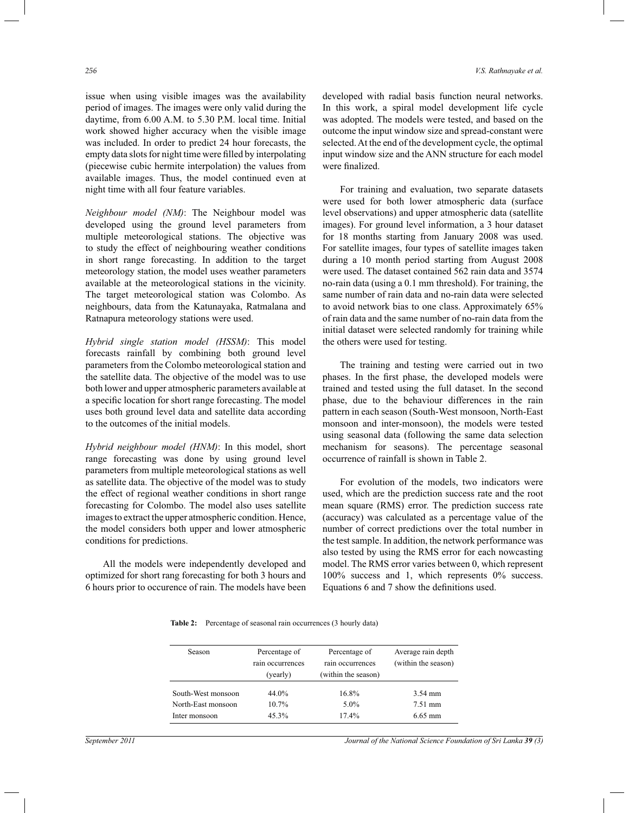issue when using visible images was the availability period of images. The images were only valid during the daytime, from 6.00 A.M. to 5.30 P.M. local time. Initial work showed higher accuracy when the visible image was included. In order to predict 24 hour forecasts, the empty data slots for night time were filled by interpolating (piecewise cubic hermite interpolation) the values from available images. Thus, the model continued even at night time with all four feature variables.

*Neighbour model (NM)*: The Neighbour model was developed using the ground level parameters from multiple meteorological stations. The objective was to study the effect of neighbouring weather conditions in short range forecasting. In addition to the target meteorology station, the model uses weather parameters available at the meteorological stations in the vicinity. The target meteorological station was Colombo. As neighbours, data from the Katunayaka, Ratmalana and Ratnapura meteorology stations were used.

*Hybrid single station model (HSSM)*: This model forecasts rainfall by combining both ground level parameters from the Colombo meteorological station and the satellite data. The objective of the model was to use both lower and upper atmospheric parameters available at a specific location for short range forecasting. The model uses both ground level data and satellite data according to the outcomes of the initial models.

*Hybrid neighbour model (HNM)*: In this model, short range forecasting was done by using ground level parameters from multiple meteorological stations as well as satellite data. The objective of the model was to study the effect of regional weather conditions in short range forecasting for Colombo. The model also uses satellite images to extract the upper atmospheric condition. Hence, the model considers both upper and lower atmospheric conditions for predictions.

 All the models were independently developed and optimized for short rang forecasting for both 3 hours and 6 hours prior to occurence of rain. The models have been

developed with radial basis function neural networks. In this work, a spiral model development life cycle was adopted. The models were tested, and based on the outcome the input window size and spread-constant were selected. At the end of the development cycle, the optimal input window size and the ANN structure for each model were finalized.

For training and evaluation, two separate datasets were used for both lower atmospheric data (surface level observations) and upper atmospheric data (satellite images). For ground level information, a 3 hour dataset for 18 months starting from January 2008 was used. For satellite images, four types of satellite images taken during a 10 month period starting from August 2008 were used. The dataset contained 562 rain data and 3574 no-rain data (using a 0.1 mm threshold). For training, the same number of rain data and no-rain data were selected to avoid network bias to one class. Approximately 65% of rain data and the same number of no-rain data from the initial dataset were selected randomly for training while the others were used for testing.

 The training and testing were carried out in two phases. In the first phase, the developed models were trained and tested using the full dataset. In the second phase, due to the behaviour differences in the rain pattern in each season (South-West monsoon, North-East monsoon and inter-monsoon), the models were tested using seasonal data (following the same data selection mechanism for seasons). The percentage seasonal occurrence of rainfall is shown in Table 2.

 For evolution of the models, two indicators were used, which are the prediction success rate and the root mean square (RMS) error. The prediction success rate (accuracy) was calculated as a percentage value of the number of correct predictions over the total number in the test sample. In addition, the network performance was also tested by using the RMS error for each nowcasting model. The RMS error varies between 0, which represent 100% success and 1, which represents 0% success. Equations 6 and 7 show the definitions used.

**Table 2:** Percentage of seasonal rain occurrences (3 hourly data)

| Season             | Percentage of<br>rain occurrences<br>(yearly) | Percentage of<br>rain occurrences<br>(within the season) | Average rain depth<br>(within the season) |
|--------------------|-----------------------------------------------|----------------------------------------------------------|-------------------------------------------|
| South-West monsoon | 44.0%                                         | 16.8%                                                    | 3.54 mm                                   |
| North-East monsoon | $10.7\%$                                      | $5.0\%$                                                  | 7.51 mm                                   |
| Inter monsoon      | 45.3%                                         | 17.4%                                                    | $6.65 \,\mathrm{mm}$                      |

*September 2011 Journal of the National Science Foundation of Sri Lanka 39 (3)*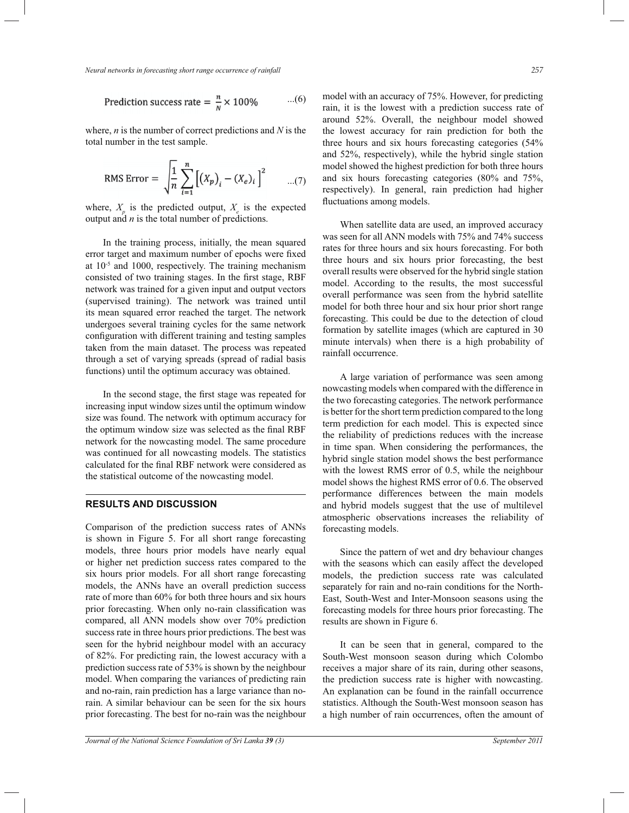*Neural networks in forecasting short range occurrence of rainfall 257*

$$
Prediction success rate = \frac{n}{N} \times 100\% \qquad ...(6)
$$

where, *n* is the number of correct predictions and *N* is the total number in the test sample.

RMS Error = 
$$
\sqrt{\frac{1}{n}} \sum_{i=1}^{n} [(X_p)_i - (X_e)_i]^2
$$
 ...(7)

where,  $X_p$  is the predicted output,  $X_e$  is the expected output and *n* is the total number of predictions.

 In the training process, initially, the mean squared error target and maximum number of epochs were fixed at  $10^{-5}$  and 1000, respectively. The training mechanism consisted of two training stages. In the first stage, RBF network was trained for a given input and output vectors (supervised training). The network was trained until its mean squared error reached the target. The network undergoes several training cycles for the same network configuration with different training and testing samples taken from the main dataset. The process was repeated through a set of varying spreads (spread of radial basis functions) until the optimum accuracy was obtained.

 In the second stage, the first stage was repeated for increasing input window sizes until the optimum window size was found. The network with optimum accuracy for the optimum window size was selected as the final RBF network for the nowcasting model. The same procedure was continued for all nowcasting models. The statistics calculated for the final RBF network were considered as the statistical outcome of the nowcasting model.

## **RESULTS AND DISCUSSION**

Comparison of the prediction success rates of ANNs is shown in Figure 5. For all short range forecasting models, three hours prior models have nearly equal or higher net prediction success rates compared to the six hours prior models. For all short range forecasting models, the ANNs have an overall prediction success rate of more than 60% for both three hours and six hours prior forecasting. When only no-rain classification was compared, all ANN models show over 70% prediction success rate in three hours prior predictions. The best was seen for the hybrid neighbour model with an accuracy of 82%. For predicting rain, the lowest accuracy with a prediction success rate of 53% is shown by the neighbour model. When comparing the variances of predicting rain and no-rain, rain prediction has a large variance than norain. A similar behaviour can be seen for the six hours prior forecasting. The best for no-rain was the neighbour model with an accuracy of 75%. However, for predicting rain, it is the lowest with a prediction success rate of around 52%. Overall, the neighbour model showed the lowest accuracy for rain prediction for both the three hours and six hours forecasting categories (54% and 52%, respectively), while the hybrid single station model showed the highest prediction for both three hours and six hours forecasting categories (80% and 75%, respectively). In general, rain prediction had higher fluctuations among models.

 When satellite data are used, an improved accuracy was seen for all ANN models with 75% and 74% success rates for three hours and six hours forecasting. For both three hours and six hours prior forecasting, the best overall results were observed for the hybrid single station model. According to the results, the most successful overall performance was seen from the hybrid satellite model for both three hour and six hour prior short range forecasting. This could be due to the detection of cloud formation by satellite images (which are captured in 30 minute intervals) when there is a high probability of rainfall occurrence.

 A large variation of performance was seen among nowcasting models when compared with the difference in the two forecasting categories. The network performance is better for the short term prediction compared to the long term prediction for each model. This is expected since the reliability of predictions reduces with the increase in time span. When considering the performances, the hybrid single station model shows the best performance with the lowest RMS error of 0.5, while the neighbour model shows the highest RMS error of 0.6. The observed performance differences between the main models and hybrid models suggest that the use of multilevel atmospheric observations increases the reliability of forecasting models.

 Since the pattern of wet and dry behaviour changes with the seasons which can easily affect the developed models, the prediction success rate was calculated separately for rain and no-rain conditions for the North-East, South-West and Inter-Monsoon seasons using the forecasting models for three hours prior forecasting. The results are shown in Figure 6.

 It can be seen that in general, compared to the South-West monsoon season during which Colombo receives a major share of its rain, during other seasons, the prediction success rate is higher with nowcasting. An explanation can be found in the rainfall occurrence statistics. Although the South-West monsoon season has a high number of rain occurrences, often the amount of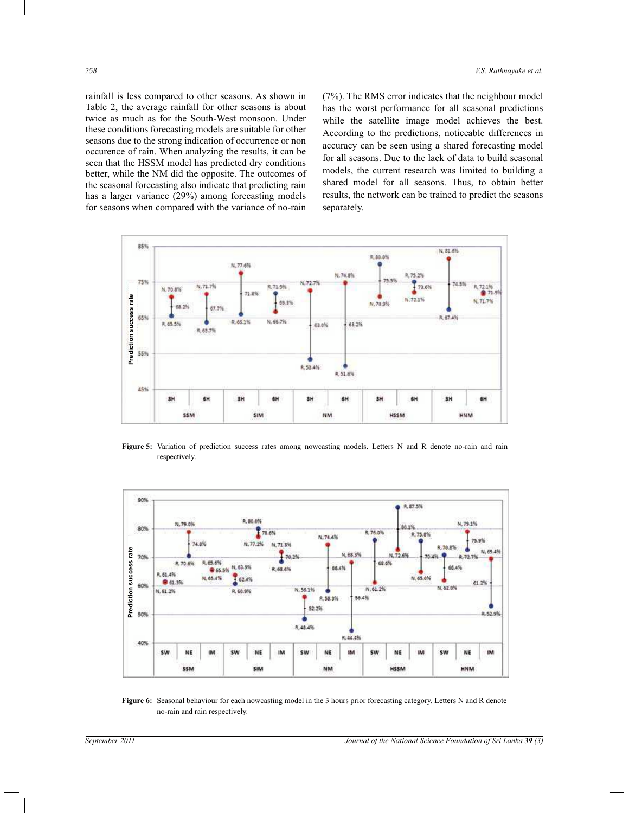rainfall is less compared to other seasons. As shown in Table 2, the average rainfall for other seasons is about twice as much as for the South-West monsoon. Under these conditions forecasting models are suitable for other seasons due to the strong indication of occurrence or non occurence of rain. When analyzing the results, it can be seen that the HSSM model has predicted dry conditions better, while the NM did the opposite. The outcomes of the seasonal forecasting also indicate that predicting rain has a larger variance (29%) among forecasting models for seasons when compared with the variance of no-rain

(7%). The RMS error indicates that the neighbour model has the worst performance for all seasonal predictions while the satellite image model achieves the best. According to the predictions, noticeable differences in accuracy can be seen using a shared forecasting model for all seasons. Due to the lack of data to build seasonal models, the current research was limited to building a shared model for all seasons. Thus, to obtain better results, the network can be trained to predict the seasons separately.



**Figure 5:** Variation of prediction success rates among nowcasting models. Letters N and R denote no-rain and rain respectively.



**Figure 6:** Seasonal behaviour for each nowcasting model in the 3 hours prior forecasting category. Letters N and R denote no-rain and rain respectively.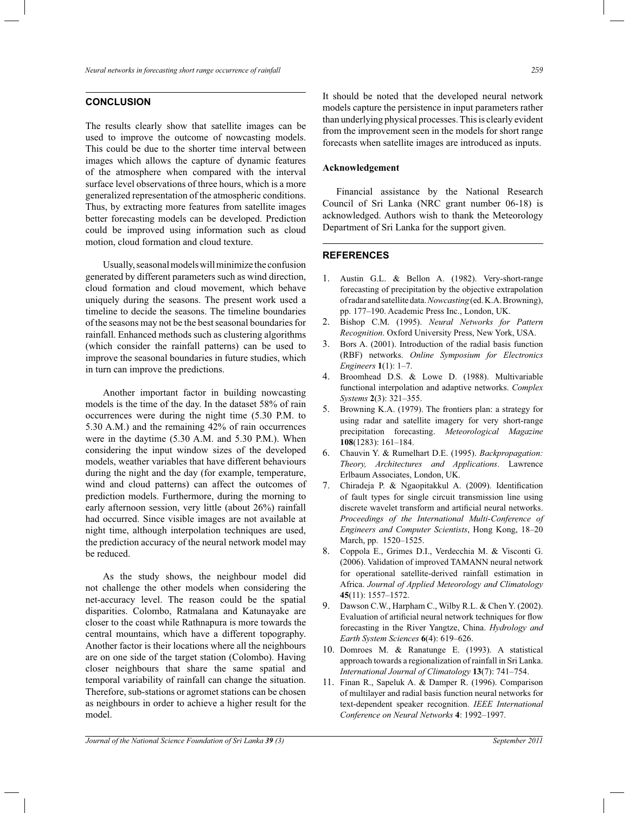# **CONCLUSION**

The results clearly show that satellite images can be used to improve the outcome of nowcasting models. This could be due to the shorter time interval between images which allows the capture of dynamic features of the atmosphere when compared with the interval surface level observations of three hours, which is a more generalized representation of the atmospheric conditions. Thus, by extracting more features from satellite images better forecasting models can be developed. Prediction could be improved using information such as cloud motion, cloud formation and cloud texture.

 Usually, seasonal models will minimize the confusion generated by different parameters such as wind direction, cloud formation and cloud movement, which behave uniquely during the seasons. The present work used a timeline to decide the seasons. The timeline boundaries of the seasons may not be the best seasonal boundaries for rainfall. Enhanced methods such as clustering algorithms (which consider the rainfall patterns) can be used to improve the seasonal boundaries in future studies, which in turn can improve the predictions.

 Another important factor in building nowcasting models is the time of the day. In the dataset 58% of rain occurrences were during the night time (5.30 P.M. to 5.30 A.M.) and the remaining 42% of rain occurrences were in the daytime (5.30 A.M. and 5.30 P.M.). When considering the input window sizes of the developed models, weather variables that have different behaviours during the night and the day (for example, temperature, wind and cloud patterns) can affect the outcomes of prediction models. Furthermore, during the morning to early afternoon session, very little (about 26%) rainfall had occurred. Since visible images are not available at night time, although interpolation techniques are used, the prediction accuracy of the neural network model may be reduced.

 As the study shows, the neighbour model did not challenge the other models when considering the net-accuracy level. The reason could be the spatial disparities. Colombo, Ratmalana and Katunayake are closer to the coast while Rathnapura is more towards the central mountains, which have a different topography. Another factor is their locations where all the neighbours are on one side of the target station (Colombo). Having closer neighbours that share the same spatial and temporal variability of rainfall can change the situation. Therefore, sub-stations or agromet stations can be chosen as neighbours in order to achieve a higher result for the model.

It should be noted that the developed neural network models capture the persistence in input parameters rather than underlying physical processes. This is clearly evident from the improvement seen in the models for short range forecasts when satellite images are introduced as inputs.

## **Acknowledgement**

Financial assistance by the National Research Council of Sri Lanka (NRC grant number 06-18) is acknowledged. Authors wish to thank the Meteorology Department of Sri Lanka for the support given.

## **REFERENCES**

- 1. Austin G.L. & Bellon A. (1982). Very-short-range forecasting of precipitation by the objective extrapolation of radar and satellite data. *Nowcasting* (ed. K.A. Browning), pp. 177–190. Academic Press Inc., London, UK.
- 2. Bishop C.M. (1995). *Neural Networks for Pattern Recognition*. Oxford University Press, New York, USA.
- 3. Bors A. (2001). Introduction of the radial basis function (RBF) networks. *Online Symposium for Electronics Engineers* **1**(1): 1–7.
- 4. Broomhead D.S. & Lowe D. (1988). Multivariable functional interpolation and adaptive networks. *Complex Systems* **2**(3): 321–355.
- 5. Browning K.A. (1979). The frontiers plan: a strategy for using radar and satellite imagery for very short-range precipitation forecasting. *Meteorological Magazine* **108**(1283): 161–184.
- 6. Chauvin Y. & Rumelhart D.E. (1995). *Backpropagation: Theory, Architectures and Applications*. Lawrence Erlbaum Associates, London, UK.
- 7. Chiradeja P. & Ngaopitakkul A. (2009). Identification of fault types for single circuit transmission line using discrete wavelet transform and artificial neural networks. *Proceedings of the International Multi-Conference of Engineers and Computer Scientists*, Hong Kong, 18–20 March, pp. 1520–1525.
- 8. Coppola E., Grimes D.I., Verdecchia M. & Visconti G. (2006). Validation of improved TAMANN neural network for operational satellite-derived rainfall estimation in Africa. *Journal of Applied Meteorology and Climatology*  **45**(11): 1557–1572.
- 9. Dawson C.W., Harpham C., Wilby R.L. & Chen Y. (2002). Evaluation of artificial neural network techniques for flow forecasting in the River Yangtze, China. *Hydrology and Earth System Sciences* **6**(4): 619–626.
- 10. Domroes M. & Ranatunge E. (1993). A statistical approach towards a regionalization of rainfall in Sri Lanka. *International Journal of Climatology* **13**(7): 741–754.
- 11. Finan R., Sapeluk A. & Damper R. (1996). Comparison of multilayer and radial basis function neural networks for text-dependent speaker recognition. *IEEE International Conference on Neural Networks* **4**: 1992–1997.